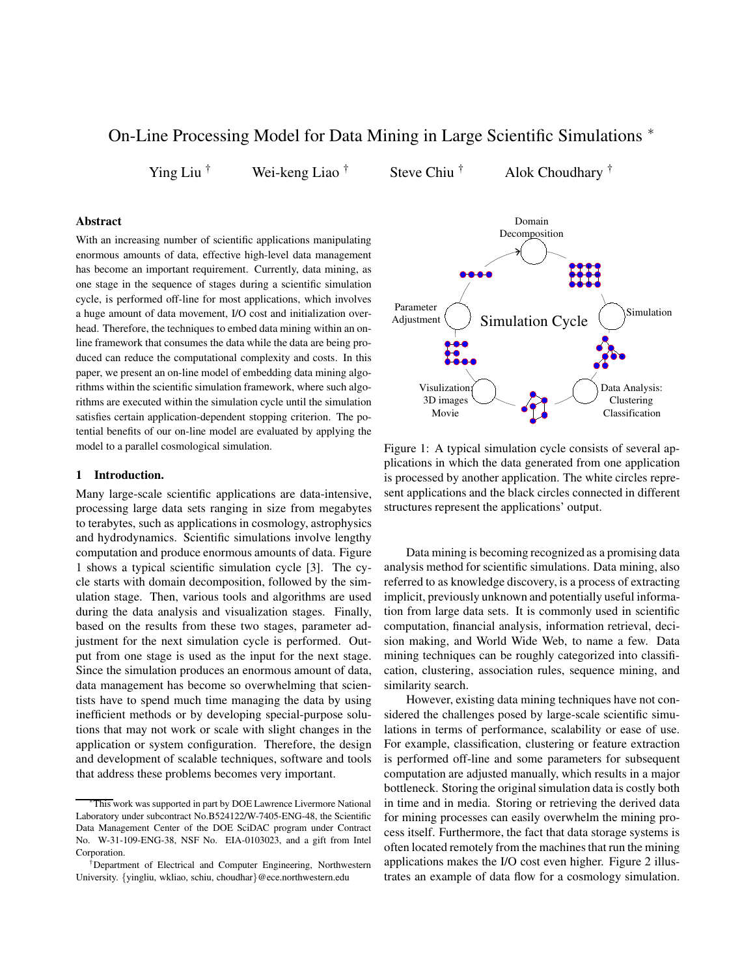# On-Line Processing Model for Data Mining in Large Scientific Simulations <sup>∗</sup>

Ying Liu † Wei-keng Liao † Steve Chiu † Alok Choudhary †

# **Abstract**

With an increasing number of scientific applications manipulating enormous amounts of data, effective high-level data management has become an important requirement. Currently, data mining, as one stage in the sequence of stages during a scientific simulation cycle, is performed off-line for most applications, which involves a huge amount of data movement, I/O cost and initialization overhead. Therefore, the techniques to embed data mining within an online framework that consumes the data while the data are being produced can reduce the computational complexity and costs. In this paper, we present an on-line model of embedding data mining algorithms within the scientific simulation framework, where such algorithms are executed within the simulation cycle until the simulation satisfies certain application-dependent stopping criterion. The potential benefits of our on-line model are evaluated by applying the model to a parallel cosmological simulation.

## **1 Introduction.**

Many large-scale scientific applications are data-intensive, processing large data sets ranging in size from megabytes to terabytes, such as applications in cosmology, astrophysics and hydrodynamics. Scientific simulations involve lengthy computation and produce enormous amounts of data. Figure 1 shows a typical scientific simulation cycle [3]. The cycle starts with domain decomposition, followed by the simulation stage. Then, various tools and algorithms are used during the data analysis and visualization stages. Finally, based on the results from these two stages, parameter adjustment for the next simulation cycle is performed. Output from one stage is used as the input for the next stage. Since the simulation produces an enormous amount of data, data management has become so overwhelming that scientists have to spend much time managing the data by using inefficient methods or by developing special-purpose solutions that may not work or scale with slight changes in the application or system configuration. Therefore, the design and development of scalable techniques, software and tools that address these problems becomes very important.



Figure 1: A typical simulation cycle consists of several applications in which the data generated from one application is processed by another application. The white circles represent applications and the black circles connected in different structures represent the applications' output.

Data mining is becoming recognized as a promising data analysis method for scientific simulations. Data mining, also referred to as knowledge discovery, is a process of extracting implicit, previously unknown and potentially useful information from large data sets. It is commonly used in scientific computation, financial analysis, information retrieval, decision making, and World Wide Web, to name a few. Data mining techniques can be roughly categorized into classification, clustering, association rules, sequence mining, and similarity search.

However, existing data mining techniques have not considered the challenges posed by large-scale scientific simulations in terms of performance, scalability or ease of use. For example, classification, clustering or feature extraction is performed off-line and some parameters for subsequent computation are adjusted manually, which results in a major bottleneck. Storing the original simulation data is costly both in time and in media. Storing or retrieving the derived data for mining processes can easily overwhelm the mining process itself. Furthermore, the fact that data storage systems is often located remotely from the machines that run the mining applications makes the I/O cost even higher. Figure 2 illustrates an example of data flow for a cosmology simulation.

This work was supported in part by DOE Lawrence Livermore National Laboratory under subcontract No.B524122/W-7405-ENG-48, the Scientific Data Management Center of the DOE SciDAC program under Contract No. W-31-109-ENG-38, NSF No. EIA-0103023, and a gift from Intel Corporation.

<sup>†</sup>Department of Electrical and Computer Engineering, Northwestern University. {yingliu, wkliao, schiu, choudhar}@ece.northwestern.edu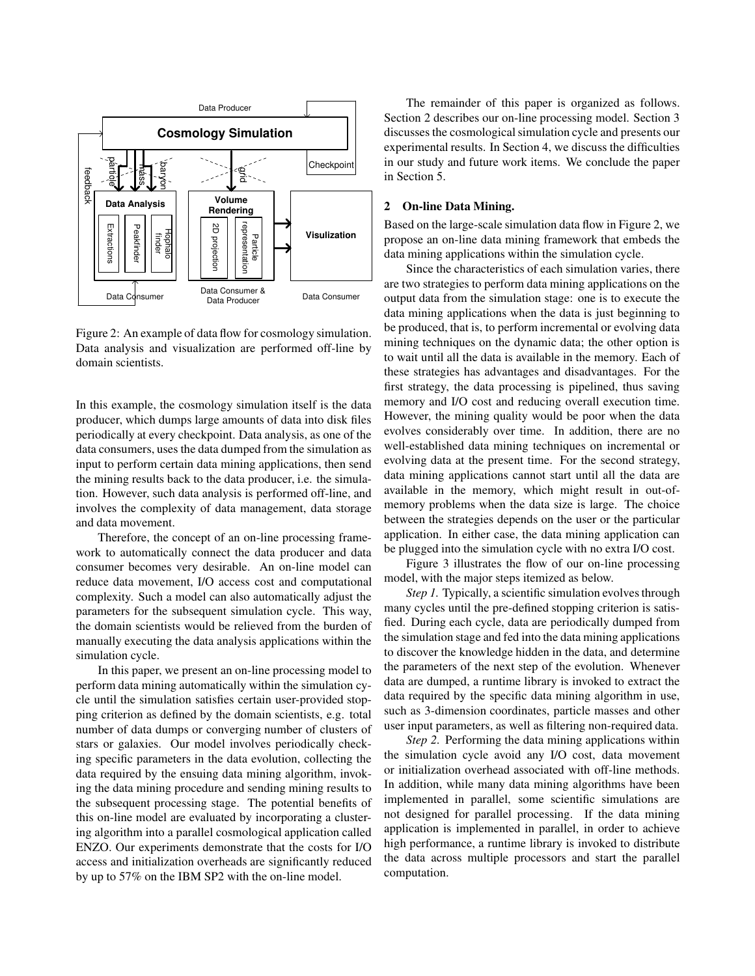

Figure 2: An example of data flow for cosmology simulation. Data analysis and visualization are performed off-line by domain scientists.

In this example, the cosmology simulation itself is the data producer, which dumps large amounts of data into disk files periodically at every checkpoint. Data analysis, as one of the data consumers, uses the data dumped from the simulation as input to perform certain data mining applications, then send the mining results back to the data producer, i.e. the simulation. However, such data analysis is performed off-line, and involves the complexity of data management, data storage and data movement.

Therefore, the concept of an on-line processing framework to automatically connect the data producer and data consumer becomes very desirable. An on-line model can reduce data movement, I/O access cost and computational complexity. Such a model can also automatically adjust the parameters for the subsequent simulation cycle. This way, the domain scientists would be relieved from the burden of manually executing the data analysis applications within the simulation cycle.

In this paper, we present an on-line processing model to perform data mining automatically within the simulation cycle until the simulation satisfies certain user-provided stopping criterion as defined by the domain scientists, e.g. total number of data dumps or converging number of clusters of stars or galaxies. Our model involves periodically checking specific parameters in the data evolution, collecting the data required by the ensuing data mining algorithm, invoking the data mining procedure and sending mining results to the subsequent processing stage. The potential benefits of this on-line model are evaluated by incorporating a clustering algorithm into a parallel cosmological application called ENZO. Our experiments demonstrate that the costs for I/O access and initialization overheads are significantly reduced by up to 57% on the IBM SP2 with the on-line model.

The remainder of this paper is organized as follows. Section 2 describes our on-line processing model. Section 3 discusses the cosmological simulation cycle and presents our experimental results. In Section 4, we discuss the difficulties in our study and future work items. We conclude the paper in Section 5.

#### **2 On-line Data Mining.**

Based on the large-scale simulation data flow in Figure 2, we propose an on-line data mining framework that embeds the data mining applications within the simulation cycle.

Since the characteristics of each simulation varies, there are two strategies to perform data mining applications on the output data from the simulation stage: one is to execute the data mining applications when the data is just beginning to be produced, that is, to perform incremental or evolving data mining techniques on the dynamic data; the other option is to wait until all the data is available in the memory. Each of these strategies has advantages and disadvantages. For the first strategy, the data processing is pipelined, thus saving memory and I/O cost and reducing overall execution time. However, the mining quality would be poor when the data evolves considerably over time. In addition, there are no well-established data mining techniques on incremental or evolving data at the present time. For the second strategy, data mining applications cannot start until all the data are available in the memory, which might result in out-ofmemory problems when the data size is large. The choice between the strategies depends on the user or the particular application. In either case, the data mining application can be plugged into the simulation cycle with no extra I/O cost.

Figure 3 illustrates the flow of our on-line processing model, with the major steps itemized as below.

*Step 1.* Typically, a scientific simulation evolves through many cycles until the pre-defined stopping criterion is satisfied. During each cycle, data are periodically dumped from the simulation stage and fed into the data mining applications to discover the knowledge hidden in the data, and determine the parameters of the next step of the evolution. Whenever data are dumped, a runtime library is invoked to extract the data required by the specific data mining algorithm in use, such as 3-dimension coordinates, particle masses and other user input parameters, as well as filtering non-required data.

*Step 2.* Performing the data mining applications within the simulation cycle avoid any I/O cost, data movement or initialization overhead associated with off-line methods. In addition, while many data mining algorithms have been implemented in parallel, some scientific simulations are not designed for parallel processing. If the data mining application is implemented in parallel, in order to achieve high performance, a runtime library is invoked to distribute the data across multiple processors and start the parallel computation.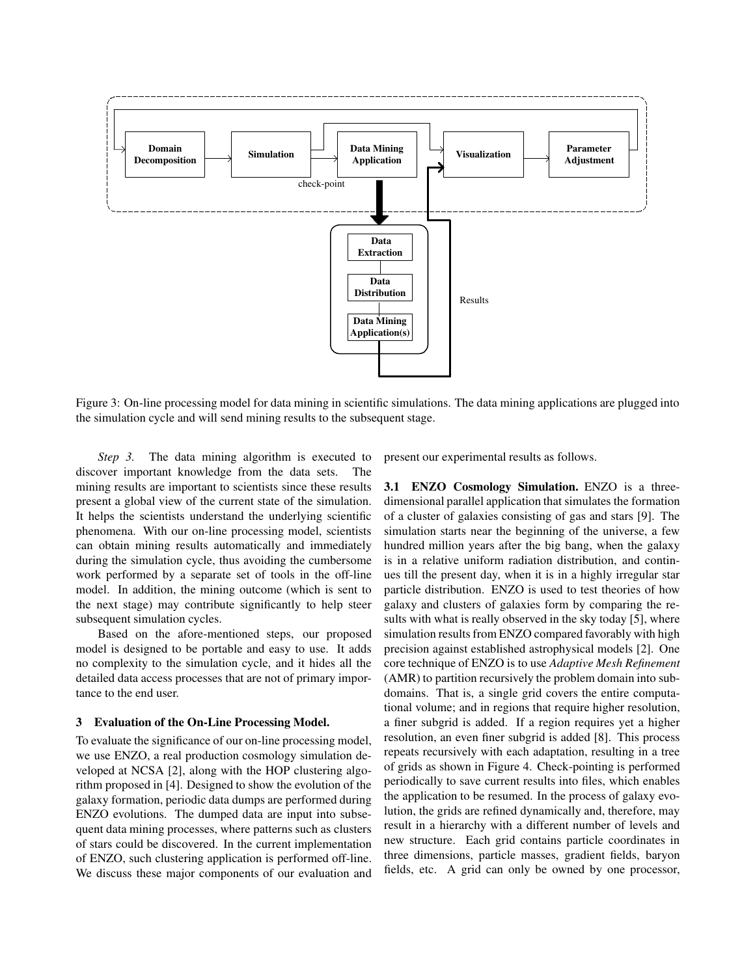

Figure 3: On-line processing model for data mining in scientific simulations. The data mining applications are plugged into the simulation cycle and will send mining results to the subsequent stage.

*Step 3.* The data mining algorithm is executed to discover important knowledge from the data sets. The mining results are important to scientists since these results present a global view of the current state of the simulation. It helps the scientists understand the underlying scientific phenomena. With our on-line processing model, scientists can obtain mining results automatically and immediately during the simulation cycle, thus avoiding the cumbersome work performed by a separate set of tools in the off-line model. In addition, the mining outcome (which is sent to the next stage) may contribute significantly to help steer subsequent simulation cycles.

Based on the afore-mentioned steps, our proposed model is designed to be portable and easy to use. It adds no complexity to the simulation cycle, and it hides all the detailed data access processes that are not of primary importance to the end user.

#### **3 Evaluation of the On-Line Processing Model.**

To evaluate the significance of our on-line processing model, we use ENZO, a real production cosmology simulation developed at NCSA [2], along with the HOP clustering algorithm proposed in [4]. Designed to show the evolution of the galaxy formation, periodic data dumps are performed during ENZO evolutions. The dumped data are input into subsequent data mining processes, where patterns such as clusters of stars could be discovered. In the current implementation of ENZO, such clustering application is performed off-line. We discuss these major components of our evaluation and present our experimental results as follows.

**3.1 ENZO Cosmology Simulation.** ENZO is a threedimensional parallel application that simulates the formation of a cluster of galaxies consisting of gas and stars [9]. The simulation starts near the beginning of the universe, a few hundred million years after the big bang, when the galaxy is in a relative uniform radiation distribution, and continues till the present day, when it is in a highly irregular star particle distribution. ENZO is used to test theories of how galaxy and clusters of galaxies form by comparing the results with what is really observed in the sky today [5], where simulation results from ENZO compared favorably with high precision against established astrophysical models [2]. One core technique of ENZO is to use *Adaptive Mesh Refinement* (AMR) to partition recursively the problem domain into subdomains. That is, a single grid covers the entire computational volume; and in regions that require higher resolution, a finer subgrid is added. If a region requires yet a higher resolution, an even finer subgrid is added [8]. This process repeats recursively with each adaptation, resulting in a tree of grids as shown in Figure 4. Check-pointing is performed periodically to save current results into files, which enables the application to be resumed. In the process of galaxy evolution, the grids are refined dynamically and, therefore, may result in a hierarchy with a different number of levels and new structure. Each grid contains particle coordinates in three dimensions, particle masses, gradient fields, baryon fields, etc. A grid can only be owned by one processor,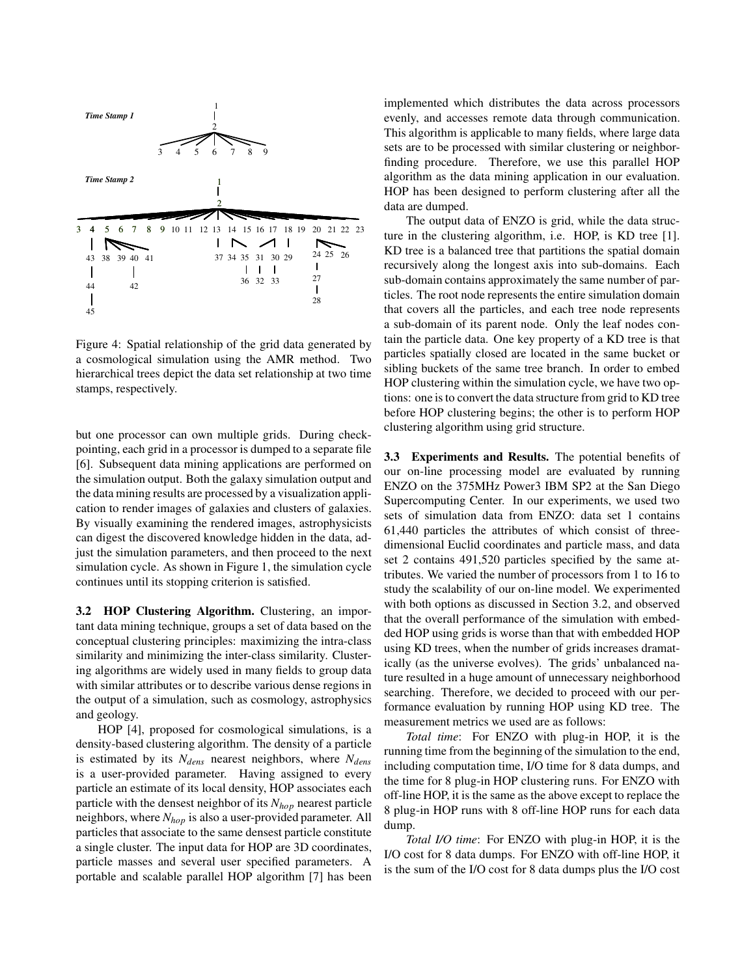

Figure 4: Spatial relationship of the grid data generated by a cosmological simulation using the AMR method. Two hierarchical trees depict the data set relationship at two time stamps, respectively.

but one processor can own multiple grids. During checkpointing, each grid in a processor is dumped to a separate file [6]. Subsequent data mining applications are performed on the simulation output. Both the galaxy simulation output and the data mining results are processed by a visualization application to render images of galaxies and clusters of galaxies. By visually examining the rendered images, astrophysicists can digest the discovered knowledge hidden in the data, adjust the simulation parameters, and then proceed to the next simulation cycle. As shown in Figure 1, the simulation cycle continues until its stopping criterion is satisfied.

**3.2 HOP Clustering Algorithm.** Clustering, an important data mining technique, groups a set of data based on the conceptual clustering principles: maximizing the intra-class similarity and minimizing the inter-class similarity. Clustering algorithms are widely used in many fields to group data with similar attributes or to describe various dense regions in the output of a simulation, such as cosmology, astrophysics and geology.

HOP [4], proposed for cosmological simulations, is a density-based clustering algorithm. The density of a particle is estimated by its *Ndens* nearest neighbors, where *Ndens* is a user-provided parameter. Having assigned to every particle an estimate of its local density, HOP associates each particle with the densest neighbor of its *Nhop* nearest particle neighbors, where *Nhop* is also a user-provided parameter. All particles that associate to the same densest particle constitute a single cluster. The input data for HOP are 3D coordinates, particle masses and several user specified parameters. A portable and scalable parallel HOP algorithm [7] has been

implemented which distributes the data across processors evenly, and accesses remote data through communication. This algorithm is applicable to many fields, where large data sets are to be processed with similar clustering or neighborfinding procedure. Therefore, we use this parallel HOP algorithm as the data mining application in our evaluation. HOP has been designed to perform clustering after all the data are dumped.

The output data of ENZO is grid, while the data structure in the clustering algorithm, i.e. HOP, is KD tree [1]. KD tree is a balanced tree that partitions the spatial domain recursively along the longest axis into sub-domains. Each sub-domain contains approximately the same number of particles. The root node represents the entire simulation domain that covers all the particles, and each tree node represents a sub-domain of its parent node. Only the leaf nodes contain the particle data. One key property of a KD tree is that particles spatially closed are located in the same bucket or sibling buckets of the same tree branch. In order to embed HOP clustering within the simulation cycle, we have two options: one is to convert the data structure from grid to KD tree before HOP clustering begins; the other is to perform HOP clustering algorithm using grid structure.

**3.3 Experiments and Results.** The potential benefits of our on-line processing model are evaluated by running ENZO on the 375MHz Power3 IBM SP2 at the San Diego Supercomputing Center. In our experiments, we used two sets of simulation data from ENZO: data set 1 contains 61,440 particles the attributes of which consist of threedimensional Euclid coordinates and particle mass, and data set 2 contains 491,520 particles specified by the same attributes. We varied the number of processors from 1 to 16 to study the scalability of our on-line model. We experimented with both options as discussed in Section 3.2, and observed that the overall performance of the simulation with embedded HOP using grids is worse than that with embedded HOP using KD trees, when the number of grids increases dramatically (as the universe evolves). The grids' unbalanced nature resulted in a huge amount of unnecessary neighborhood searching. Therefore, we decided to proceed with our performance evaluation by running HOP using KD tree. The measurement metrics we used are as follows:

*Total time*: For ENZO with plug-in HOP, it is the running time from the beginning of the simulation to the end, including computation time, I/O time for 8 data dumps, and the time for 8 plug-in HOP clustering runs. For ENZO with off-line HOP, it is the same as the above except to replace the 8 plug-in HOP runs with 8 off-line HOP runs for each data dump.

*Total I/O time*: For ENZO with plug-in HOP, it is the I/O cost for 8 data dumps. For ENZO with off-line HOP, it is the sum of the I/O cost for 8 data dumps plus the I/O cost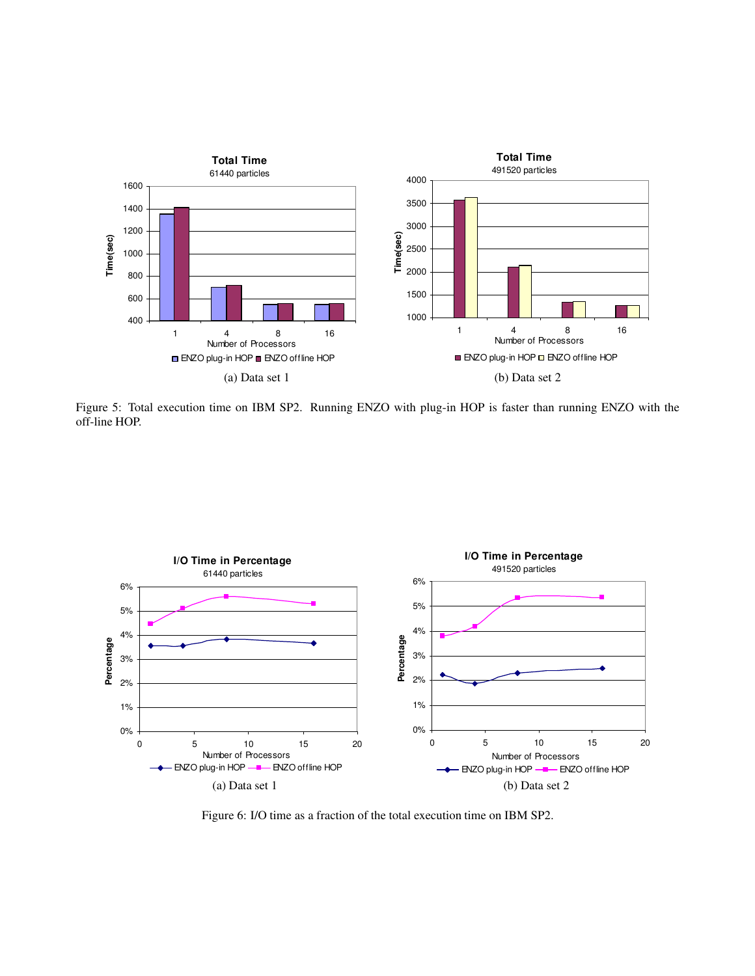

Figure 5: Total execution time on IBM SP2. Running ENZO with plug-in HOP is faster than running ENZO with the off-line HOP.



Figure 6: I/O time as a fraction of the total execution time on IBM SP2.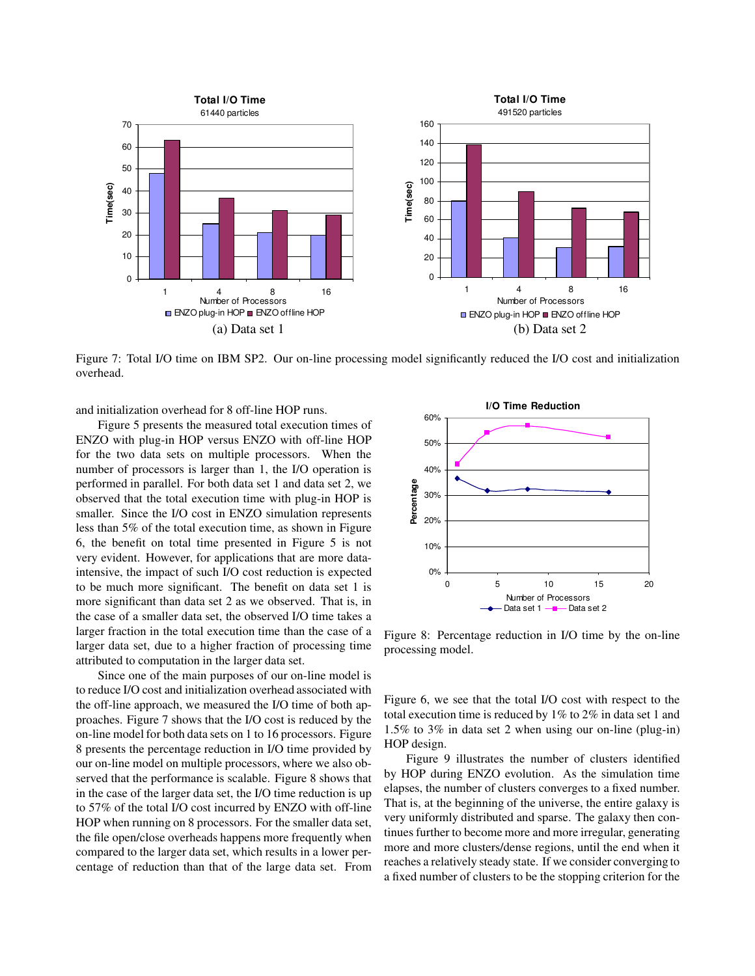

Figure 7: Total I/O time on IBM SP2. Our on-line processing model significantly reduced the I/O cost and initialization overhead.

and initialization overhead for 8 off-line HOP runs.

Figure 5 presents the measured total execution times of ENZO with plug-in HOP versus ENZO with off-line HOP for the two data sets on multiple processors. When the number of processors is larger than 1, the I/O operation is performed in parallel. For both data set 1 and data set 2, we observed that the total execution time with plug-in HOP is smaller. Since the I/O cost in ENZO simulation represents less than 5% of the total execution time, as shown in Figure 6, the benefit on total time presented in Figure 5 is not very evident. However, for applications that are more dataintensive, the impact of such I/O cost reduction is expected to be much more significant. The benefit on data set 1 is more significant than data set 2 as we observed. That is, in the case of a smaller data set, the observed I/O time takes a larger fraction in the total execution time than the case of a larger data set, due to a higher fraction of processing time attributed to computation in the larger data set.

Since one of the main purposes of our on-line model is to reduce I/O cost and initialization overhead associated with the off-line approach, we measured the I/O time of both approaches. Figure 7 shows that the I/O cost is reduced by the on-line model for both data sets on 1 to 16 processors. Figure 8 presents the percentage reduction in I/O time provided by our on-line model on multiple processors, where we also observed that the performance is scalable. Figure 8 shows that in the case of the larger data set, the I/O time reduction is up to 57% of the total I/O cost incurred by ENZO with off-line HOP when running on 8 processors. For the smaller data set, the file open/close overheads happens more frequently when compared to the larger data set, which results in a lower percentage of reduction than that of the large data set. From



Figure 8: Percentage reduction in I/O time by the on-line processing model.

Figure 6, we see that the total I/O cost with respect to the total execution time is reduced by 1% to 2% in data set 1 and 1.5% to 3% in data set 2 when using our on-line (plug-in) HOP design.

Figure 9 illustrates the number of clusters identified by HOP during ENZO evolution. As the simulation time elapses, the number of clusters converges to a fixed number. That is, at the beginning of the universe, the entire galaxy is very uniformly distributed and sparse. The galaxy then continues further to become more and more irregular, generating more and more clusters/dense regions, until the end when it reaches a relatively steady state. If we consider converging to a fixed number of clusters to be the stopping criterion for the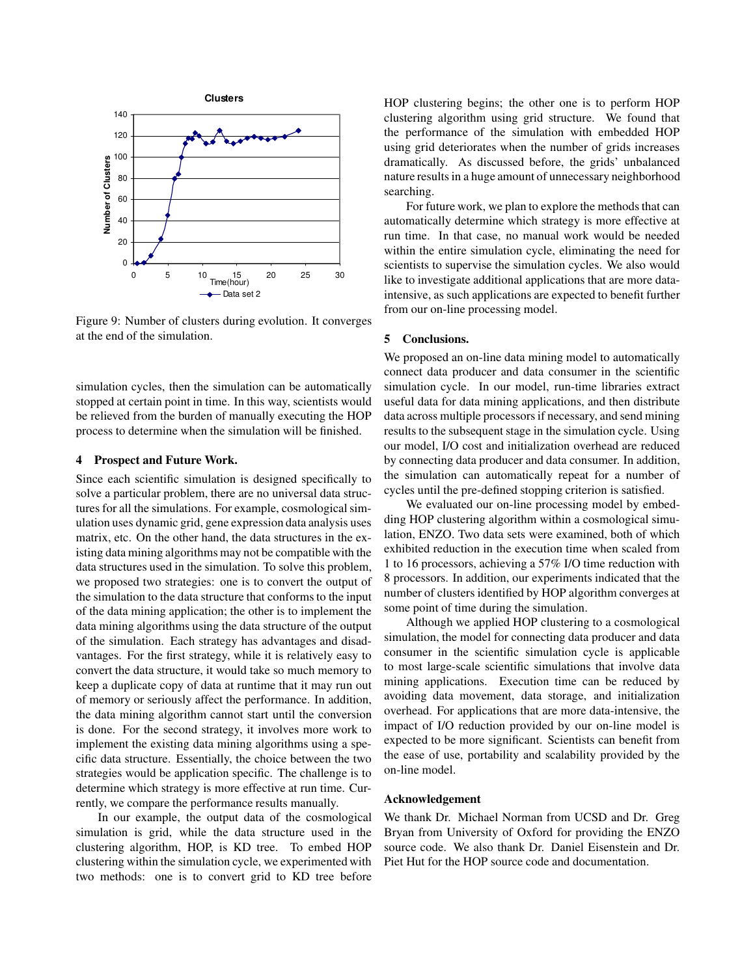

Figure 9: Number of clusters during evolution. It converges at the end of the simulation.

simulation cycles, then the simulation can be automatically stopped at certain point in time. In this way, scientists would be relieved from the burden of manually executing the HOP process to determine when the simulation will be finished.

## **4 Prospect and Future Work.**

Since each scientific simulation is designed specifically to solve a particular problem, there are no universal data structures for all the simulations. For example, cosmological simulation uses dynamic grid, gene expression data analysis uses matrix, etc. On the other hand, the data structures in the existing data mining algorithms may not be compatible with the data structures used in the simulation. To solve this problem, we proposed two strategies: one is to convert the output of the simulation to the data structure that conforms to the input of the data mining application; the other is to implement the data mining algorithms using the data structure of the output of the simulation. Each strategy has advantages and disadvantages. For the first strategy, while it is relatively easy to convert the data structure, it would take so much memory to keep a duplicate copy of data at runtime that it may run out of memory or seriously affect the performance. In addition, the data mining algorithm cannot start until the conversion is done. For the second strategy, it involves more work to implement the existing data mining algorithms using a specific data structure. Essentially, the choice between the two strategies would be application specific. The challenge is to determine which strategy is more effective at run time. Currently, we compare the performance results manually.

In our example, the output data of the cosmological simulation is grid, while the data structure used in the clustering algorithm, HOP, is KD tree. To embed HOP clustering within the simulation cycle, we experimented with two methods: one is to convert grid to KD tree before

HOP clustering begins; the other one is to perform HOP clustering algorithm using grid structure. We found that the performance of the simulation with embedded HOP using grid deteriorates when the number of grids increases dramatically. As discussed before, the grids' unbalanced nature results in a huge amount of unnecessary neighborhood searching.

For future work, we plan to explore the methods that can automatically determine which strategy is more effective at run time. In that case, no manual work would be needed within the entire simulation cycle, eliminating the need for scientists to supervise the simulation cycles. We also would like to investigate additional applications that are more dataintensive, as such applications are expected to benefit further from our on-line processing model.

#### **5 Conclusions.**

We proposed an on-line data mining model to automatically connect data producer and data consumer in the scientific simulation cycle. In our model, run-time libraries extract useful data for data mining applications, and then distribute data across multiple processors if necessary, and send mining results to the subsequent stage in the simulation cycle. Using our model, I/O cost and initialization overhead are reduced by connecting data producer and data consumer. In addition, the simulation can automatically repeat for a number of cycles until the pre-defined stopping criterion is satisfied.

We evaluated our on-line processing model by embedding HOP clustering algorithm within a cosmological simulation, ENZO. Two data sets were examined, both of which exhibited reduction in the execution time when scaled from 1 to 16 processors, achieving a 57% I/O time reduction with 8 processors. In addition, our experiments indicated that the number of clusters identified by HOP algorithm converges at some point of time during the simulation.

Although we applied HOP clustering to a cosmological simulation, the model for connecting data producer and data consumer in the scientific simulation cycle is applicable to most large-scale scientific simulations that involve data mining applications. Execution time can be reduced by avoiding data movement, data storage, and initialization overhead. For applications that are more data-intensive, the impact of I/O reduction provided by our on-line model is expected to be more significant. Scientists can benefit from the ease of use, portability and scalability provided by the on-line model.

## **Acknowledgement**

We thank Dr. Michael Norman from UCSD and Dr. Greg Bryan from University of Oxford for providing the ENZO source code. We also thank Dr. Daniel Eisenstein and Dr. Piet Hut for the HOP source code and documentation.